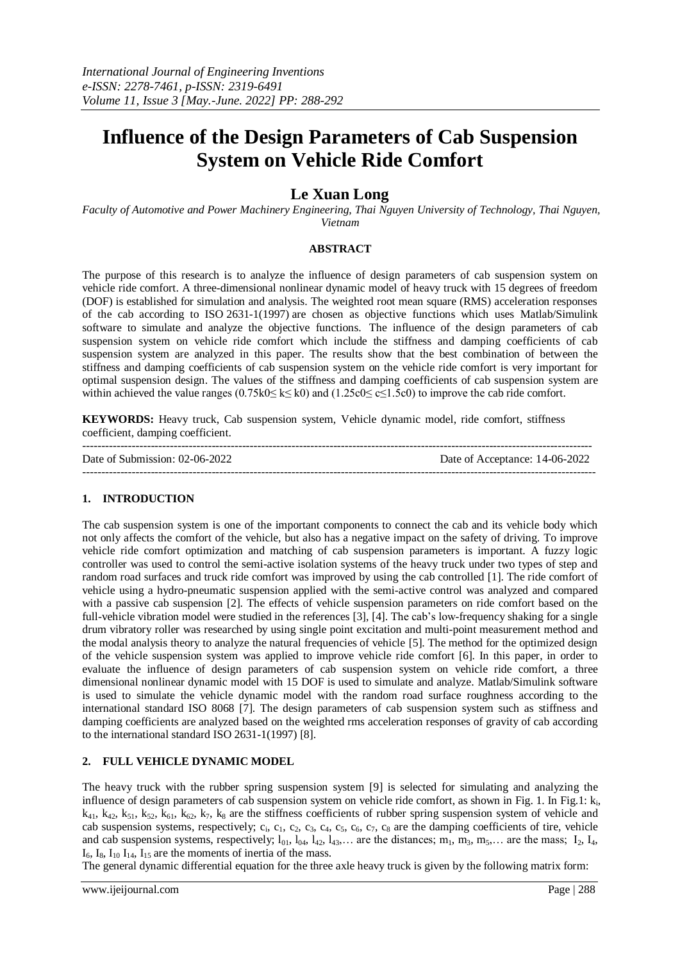# **Influence of the Design Parameters of Cab Suspension System on Vehicle Ride Comfort**

## **Le Xuan Long**

*Faculty of Automotive and Power Machinery Engineering, Thai Nguyen University of Technology, Thai Nguyen, Vietnam*

#### **ABSTRACT**

The purpose of this research is to analyze the influence of design parameters of cab suspension system on vehicle ride comfort. A three-dimensional nonlinear dynamic model of heavy truck with 15 degrees of freedom (DOF) is established for simulation and analysis. The weighted root mean square (RMS) acceleration responses of the cab according to ISO 2631-1(1997) are chosen as objective functions which uses Matlab/Simulink software to simulate and analyze the objective functions. The influence of the design parameters of cab suspension system on vehicle ride comfort which include the stiffness and damping coefficients of cab suspension system are analyzed in this paper. The results show that the best combination of between the stiffness and damping coefficients of cab suspension system on the vehicle ride comfort is very important for optimal suspension design. The values of the stiffness and damping coefficients of cab suspension system are within achieved the value ranges  $(0.75k0 \le k \le k0)$  and  $(1.25c0 \le c \le 1.5c0)$  to improve the cab ride comfort.

**KEYWORDS:** Heavy truck, Cab suspension system, Vehicle dynamic model, ride comfort, stiffness coefficient, damping coefficient.

| Date of Submission: $02-06-2022$ | Date of Acceptance: 14-06-2022 |
|----------------------------------|--------------------------------|
|                                  |                                |

### **1. INTRODUCTION**

The cab suspension system is one of the important components to connect the cab and its vehicle body which not only affects the comfort of the vehicle, but also has a negative impact on the safety of driving. To improve vehicle ride comfort optimization and matching of cab suspension parameters is important. A fuzzy logic controller was used to control the semi-active isolation systems of the heavy truck under two types of step and random road surfaces and truck ride comfort was improved by using the cab controlled [1]. The ride comfort of vehicle using a hydro-pneumatic suspension applied with the semi-active control was analyzed and compared with a passive cab suspension [2]. The effects of vehicle suspension parameters on ride comfort based on the full-vehicle vibration model were studied in the references [3], [4]. The cab's low-frequency shaking for a single drum vibratory roller was researched by using single point excitation and multi-point measurement method and the modal analysis theory to analyze the natural frequencies of vehicle [5]. The method for the optimized design of the vehicle suspension system was applied to improve vehicle ride comfort [6]. In this paper, in order to evaluate the influence of design parameters of cab suspension system on vehicle ride comfort, a three dimensional nonlinear dynamic model with 15 DOF is used to simulate and analyze. Matlab/Simulink software is used to simulate the vehicle dynamic model with the random road surface roughness according to the international standard ISO 8068 [7]. The design parameters of cab suspension system such as stiffness and damping coefficients are analyzed based on the weighted rms acceleration responses of gravity of cab according to the international standard ISO 2631-1(1997) [8].

### **2. FULL VEHICLE DYNAMIC MODEL**

The heavy truck with the rubber spring suspension system [9] is selected for simulating and analyzing the influence of design parameters of cab suspension system on vehicle ride comfort, as shown in Fig. 1. In Fig.1: k<sub>i</sub>,  $k_{41}$ ,  $k_{42}$ ,  $k_{51}$ ,  $k_{52}$ ,  $k_{61}$ ,  $k_{62}$ ,  $k_{7}$ ,  $k_{8}$  are the stiffness coefficients of rubber spring suspension system of vehicle and cab suspension systems, respectively;  $c_i$ ,  $c_1$ ,  $c_2$ ,  $c_3$ ,  $c_4$ ,  $c_5$ ,  $c_6$ ,  $c_7$ ,  $c_8$  are the damping coefficients of tire, vehicle and cab suspension systems, respectively;  $l_{01}$ ,  $l_{04}$ ,  $l_{42}$ ,  $l_{43}$ ,... are the distances;  $m_1$ ,  $m_3$ ,  $m_5$ ,... are the mass;  $I_2$ ,  $I_4$ ,  $I<sub>6</sub>, I<sub>8</sub>, I<sub>10</sub>, I<sub>14</sub>, I<sub>15</sub>$  are the moments of inertia of the mass.

The general dynamic differential equation for the three axle heavy truck is given by the following matrix form: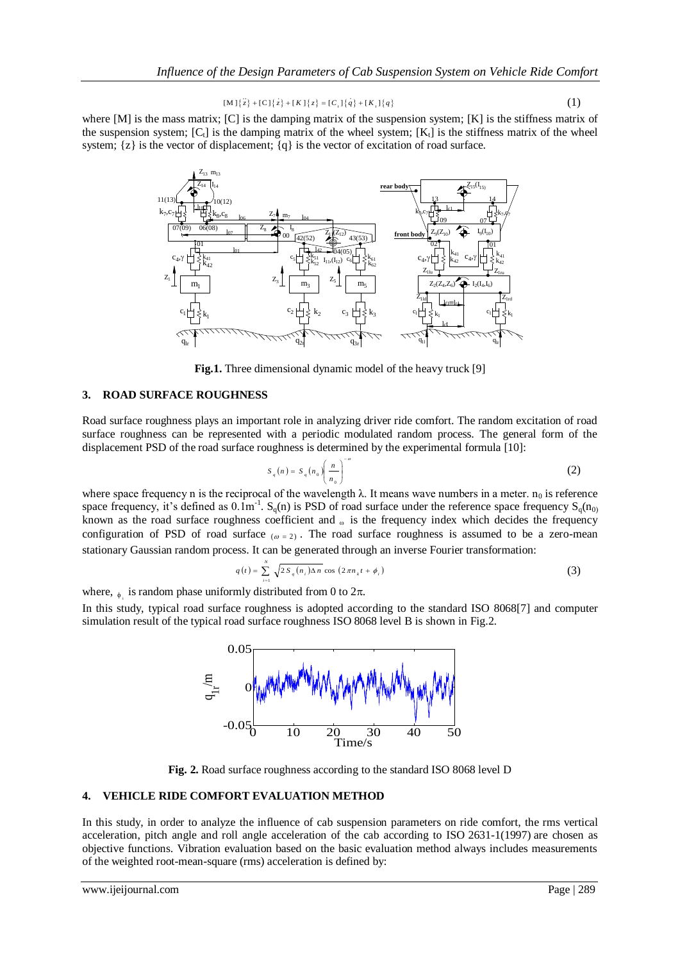$$
[M]\{\bar{z}\} + [C]\{\bar{z}\} + [K]\{\bar{z}\} = [C_i]\{\bar{q}\} + [K_i]\{\bar{q}\}
$$
 (1)

where  $[M]$  is the mass matrix;  $[C]$  is the damping matrix of the suspension system;  $[K]$  is the stiffness matrix of the suspension system;  $[C_t]$  is the damping matrix of the wheel system;  $[K_t]$  is the stiffness matrix of the wheel system;  $\{z\}$  is the vector of displacement;  $\{q\}$  is the vector of excitation of road surface.



**Fig.1.** Three dimensional dynamic model of the heavy truck [9]

#### **3. ROAD SURFACE ROUGHNESS**

Road surface roughness plays an important role in analyzing driver ride comfort. The random excitation of road surface roughness can be represented with a periodic modulated random process. The general form of the displacement PSD of the road surface roughness is determined by the experimental formula [10]:

$$
S_q(n) = S_q(n_0) \left(\frac{n}{n_0}\right)^{-\omega}
$$
 (2)

where space frequency n is the reciprocal of the wavelength  $\lambda$ . It means wave numbers in a meter.  $n_0$  is reference space frequency, it's defined as  $0.1m^{-1}$ . S<sub>q</sub>(n) is PSD of road surface under the reference space frequency S<sub>q</sub>(n<sub>0)</sub> known as the road surface roughness coefficient and  $\omega$  is the frequency index which decides the frequency configuration of PSD of road surface  $\omega = 2$ . The road surface roughness is assumed to be a zero-mean stationary Gaussian random process. It can be generated through an inverse Fourier transformation:

$$
q(t) = \sum_{i=1}^{N} \sqrt{2 S_q(n_i) \Delta n} \cos (2 \pi n_k t + \phi_i)
$$
 (3)

where,  $_{\phi_i}$  is random phase uniformly distributed from 0 to  $2\pi$ .

In this study, typical road surface roughness is adopted according to the standard ISO 8068[7] and computer simulation result of the typical road surface roughness ISO 8068 level B is shown in Fig.2.



**Fig. 2.** Road surface roughness according to the standard ISO 8068 level D

#### **4. VEHICLE RIDE COMFORT EVALUATION METHOD**

In this study, in order to analyze the influence of cab suspension parameters on ride comfort, the rms vertical acceleration, pitch angle and roll angle acceleration of the cab according to ISO 2631-1(1997) are chosen as objective functions. Vibration evaluation based on the basic evaluation method always includes measurements of the weighted root-mean-square (rms) acceleration is defined by: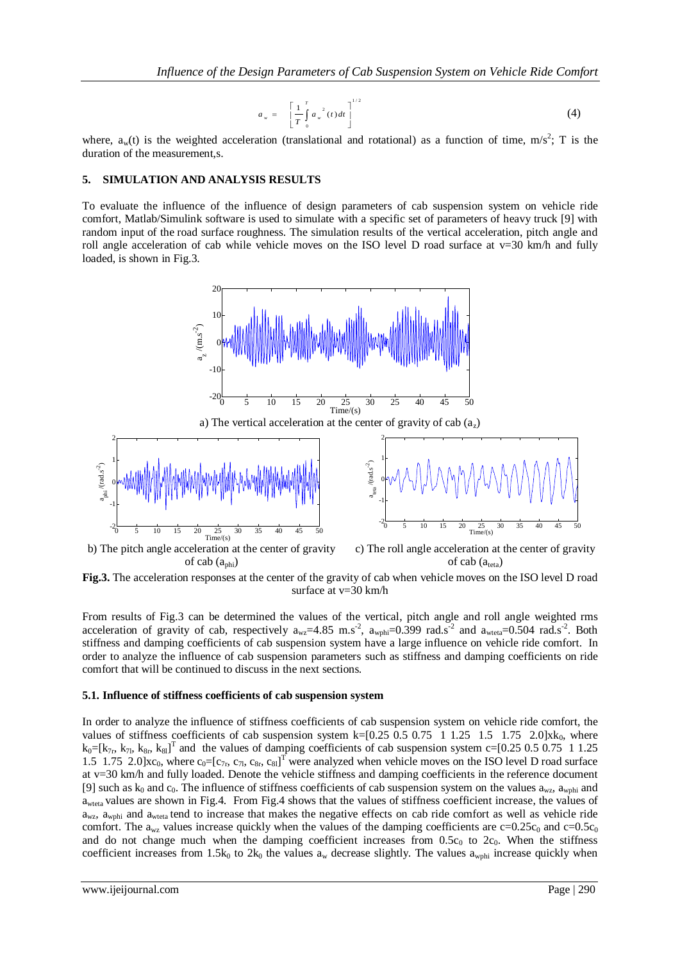$$
a_w = \left[ \frac{1}{T} \int_0^T a_w^{2}(t) dt \right]^{1/2}
$$
 (4)

where,  $a_w(t)$  is the weighted acceleration (translational and rotational) as a function of time, m/s<sup>2</sup>; T is the duration of the measurement,s.

#### **5. SIMULATION AND ANALYSIS RESULTS**

To evaluate the influence of the influence of design parameters of cab suspension system on vehicle ride comfort, Matlab/Simulink software is used to simulate with a specific set of parameters of heavy truck [9] with random input of the road surface roughness. The simulation results of the vertical acceleration, pitch angle and roll angle acceleration of cab while vehicle moves on the ISO level D road surface at  $v=30$  km/h and fully loaded, is shown in Fig.3.



b) The pitch angle acceleration at the center of gravity of cab  $(a_{phi})$ c) The roll angle acceleration at the center of gravity of cab  $(a_{\text{teta}})$ 

**Fig.3.** The acceleration responses at the center of the gravity of cab when vehicle moves on the ISO level D road surface at v=30 km/h

From results of Fig.3 can be determined the values of the vertical, pitch angle and roll angle weighted rms acceleration of gravity of cab, respectively  $a_{wz} = 4.85$  m.s<sup>-2</sup>,  $a_{wphi} = 0.399$  rad.s<sup>-2</sup> and  $a_{weta} = 0.504$  rad.s<sup>-2</sup>. Both stiffness and damping coefficients of cab suspension system have a large influence on vehicle ride comfort. In order to analyze the influence of cab suspension parameters such as stiffness and damping coefficients on ride comfort that will be continued to discuss in the next sections.

#### **5.1. Influence of stiffness coefficients of cab suspension system**

In order to analyze the influence of stiffness coefficients of cab suspension system on vehicle ride comfort, the values of stiffness coefficients of cab suspension system  $k=[0.25 \ 0.5 \ 0.75 \ 1 \ 1.25 \ 1.5 \ 1.75 \ 2.0]xk_0$ , where  $k_0=[k_{7r}, k_{7l}, k_{8r}, k_{8l}]^T$  and the values of damping coefficients of cab suspension system c=[0.25 0.5 0.75 1 1.25 1.5 1.75 2.0] $xc_0$ , where  $c_0=[c_{7r}, c_{7l}, c_{8r}, c_{8l}]^T$  were analyzed when vehicle moves on the ISO level D road surface at v=30 km/h and fully loaded. Denote the vehicle stiffness and damping coefficients in the reference document [9] such as  $k_0$  and  $c_0$ . The influence of stiffness coefficients of cab suspension system on the values  $a_{wz}$ ,  $a_{wphi}$  and awteta values are shown in Fig.4. From Fig.4 shows that the values of stiffness coefficient increase, the values of  $a_{wz}$ ,  $a_{wphi}$  and  $a_{wteta}$  tend to increase that makes the negative effects on cab ride comfort as well as vehicle ride comfort. The a<sub>wz</sub> values increase quickly when the values of the damping coefficients are  $c=0.25c_0$  and  $c=0.5c_0$ and do not change much when the damping coefficient increases from  $0.5c<sub>0</sub>$  to  $2c<sub>0</sub>$ . When the stiffness coefficient increases from 1.5 $k_0$  to  $2k_0$  the values  $a_w$  decrease slightly. The values  $a_{wphi}$  increase quickly when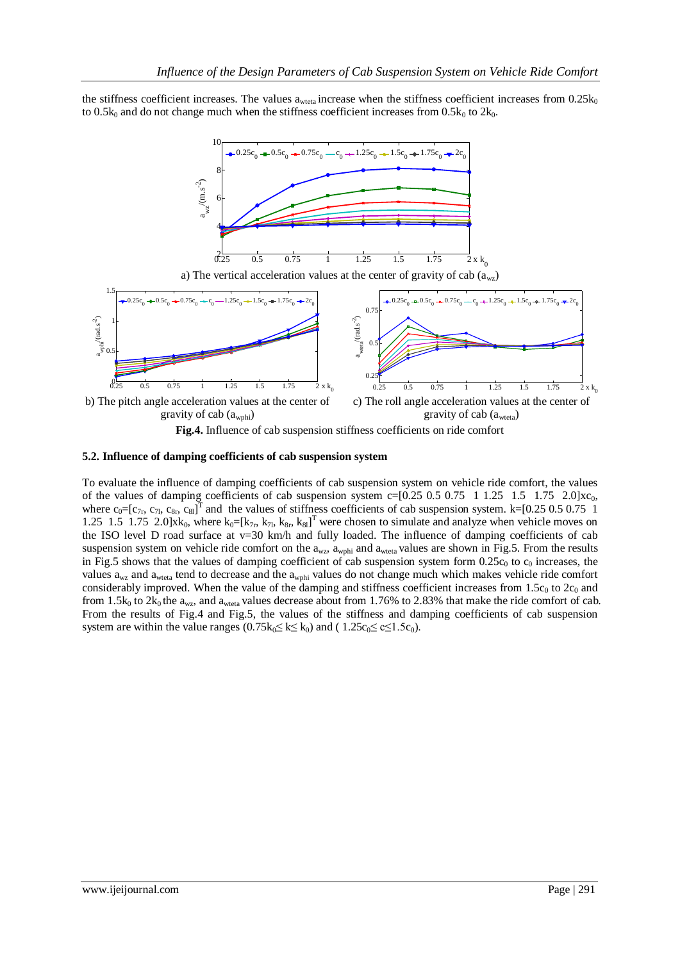the stiffness coefficient increases. The values  $a_{\text{weta}}$  increase when the stiffness coefficient increases from  $0.25k_0$ to 0.5 $k_0$  and do not change much when the stiffness coefficient increases from 0.5 $k_0$  to 2 $k_0$ .



#### **5.2. Influence of damping coefficients of cab suspension system**

To evaluate the influence of damping coefficients of cab suspension system on vehicle ride comfort, the values of the values of damping coefficients of cab suspension system  $c=[0.25 \ 0.5 \ 0.75 \ 1 \ 1.25 \ 1.5 \ 1.75 \ 2.0]x_{0}$ , where  $c_0=[c_{7r}, c_{7l}, c_{8r}, c_{8l}]^T$  and the values of stiffness coefficients of cab suspension system. k=[0.25 0.5 0.75 1 1.25 1.5 1.75 2.0]xk<sub>0</sub>, where  $k_0=[k_{7r}, k_{7l}, k_{8r}, k_{8l}]^T$  were chosen to simulate and analyze when vehicle moves on the ISO level D road surface at  $v=30$  km/h and fully loaded. The influence of damping coefficients of cab suspension system on vehicle ride comfort on the  $a_{wz}$ ,  $a_{wphi}$  and  $a_{wteta}$  values are shown in Fig.5. From the results in Fig.5 shows that the values of damping coefficient of cab suspension system form  $0.25c_0$  to  $c_0$  increases, the values  $a_{wz}$  and  $a_{weta}$  tend to decrease and the  $a_{wphi}$  values do not change much which makes vehicle ride comfort considerably improved. When the value of the damping and stiffness coefficient increases from  $1.5c_0$  to  $2c_0$  and from 1.5 $k_0$  to 2 $k_0$  the  $a_{wz}$ , and  $a_{wteta}$  values decrease about from 1.76% to 2.83% that make the ride comfort of cab. From the results of Fig.4 and Fig.5, the values of the stiffness and damping coefficients of cab suspension system are within the value ranges  $(0.75k_0 \le k \le k_0)$  and  $(1.25c_0 \le c \le 1.5c_0)$ .